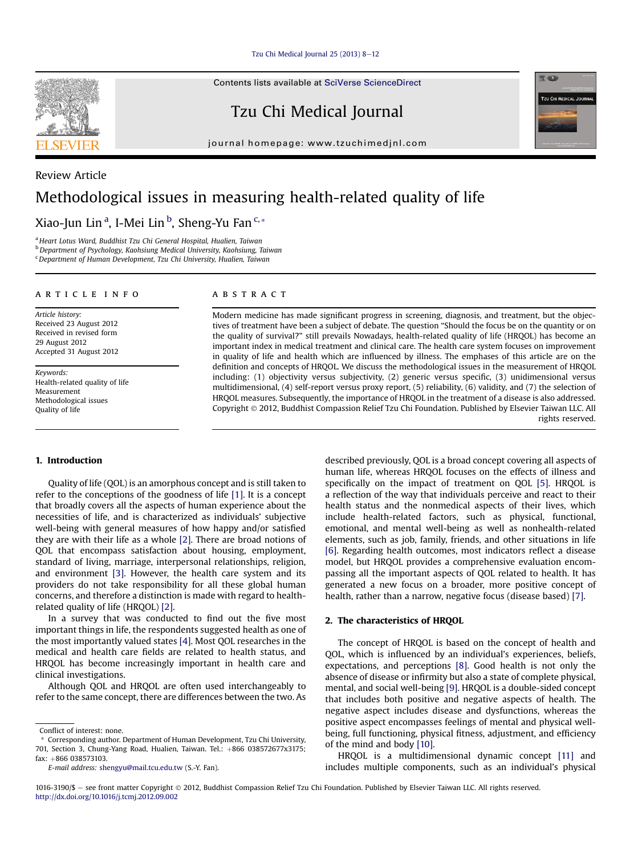Tzu Chi Medical Journal  $25$  ( $2013$ )  $8-12$  $8-12$ 

Contents lists available at [SciVerse ScienceDirect](www.sciencedirect.com/science/journal/10163190)

Tzu Chi Medical Journal

journal homepage: [www.tzuchimedjnl.com](http://www.tzuchimedjnl.com)

# Review Article Methodological issues in measuring health-related quality of life

# Xiao-Jun Lin<sup>a</sup>, I-Mei Lin<sup>b</sup>, Sheng-Yu Fan<sup>c,</sup>\*

<sup>a</sup> Heart Lotus Ward, Buddhist Tzu Chi General Hospital, Hualien, Taiwan <sup>b</sup> Department of Psychology, Kaohsiung Medical University, Kaohsiung, Taiwan <sup>c</sup>Department of Human Development, Tzu Chi University, Hualien, Taiwan

# article info

Article history: Received 23 August 2012 Received in revised form 29 August 2012 Accepted 31 August 2012

Keywords: Health-related quality of life Measurement Methodological issues Quality of life

#### **ABSTRACT**

Modern medicine has made significant progress in screening, diagnosis, and treatment, but the objectives of treatment have been a subject of debate. The question "Should the focus be on the quantity or on the quality of survival?" still prevails Nowadays, health-related quality of life (HRQOL) has become an important index in medical treatment and clinical care. The health care system focuses on improvement in quality of life and health which are influenced by illness. The emphases of this article are on the definition and concepts of HRQOL. We discuss the methodological issues in the measurement of HRQOL including: (1) objectivity versus subjectivity, (2) generic versus specific, (3) unidimensional versus multidimensional, (4) self-report versus proxy report, (5) reliability, (6) validity, and (7) the selection of HRQOL measures. Subsequently, the importance of HRQOL in the treatment of a disease is also addressed. Copyright 2012, Buddhist Compassion Relief Tzu Chi Foundation. Published by Elsevier Taiwan LLC. All rights reserved.

# 1. Introduction

Quality of life (QOL) is an amorphous concept and is still taken to refer to the conceptions of the goodness of life [\[1\].](#page-3-0) It is a concept that broadly covers all the aspects of human experience about the necessities of life, and is characterized as individuals' subjective well-being with general measures of how happy and/or satisfied they are with their life as a whole [\[2\]](#page-3-0). There are broad notions of QOL that encompass satisfaction about housing, employment, standard of living, marriage, interpersonal relationships, religion, and environment [\[3\]](#page-3-0). However, the health care system and its providers do not take responsibility for all these global human concerns, and therefore a distinction is made with regard to healthrelated quality of life (HRQOL) [\[2\]](#page-3-0).

In a survey that was conducted to find out the five most important things in life, the respondents suggested health as one of the most importantly valued states [\[4\]](#page-3-0). Most QOL researches in the medical and health care fields are related to health status, and HRQOL has become increasingly important in health care and clinical investigations.

Although QOL and HRQOL are often used interchangeably to refer to the same concept, there are differences between the two. As described previously, QOL is a broad concept covering all aspects of human life, whereas HRQOL focuses on the effects of illness and specifically on the impact of treatment on QOL [\[5\].](#page-3-0) HRQOL is a reflection of the way that individuals perceive and react to their health status and the nonmedical aspects of their lives, which include health-related factors, such as physical, functional, emotional, and mental well-being as well as nonhealth-related elements, such as job, family, friends, and other situations in life [\[6\]](#page-3-0). Regarding health outcomes, most indicators reflect a disease model, but HRQOL provides a comprehensive evaluation encompassing all the important aspects of QOL related to health. It has generated a new focus on a broader, more positive concept of health, rather than a narrow, negative focus (disease based) [\[7\]](#page-3-0).

#### 2. The characteristics of HRQOL

The concept of HRQOL is based on the concept of health and QOL, which is influenced by an individual's experiences, beliefs, expectations, and perceptions [\[8\].](#page-3-0) Good health is not only the absence of disease or infirmity but also a state of complete physical, mental, and social well-being [\[9\].](#page-3-0) HRQOL is a double-sided concept that includes both positive and negative aspects of health. The negative aspect includes disease and dysfunctions, whereas the positive aspect encompasses feelings of mental and physical wellbeing, full functioning, physical fitness, adjustment, and efficiency of the mind and body [\[10\].](#page-3-0)

HRQOL is a multidimensional dynamic concept [\[11\]](#page-3-0) and includes multiple components, such as an individual's physical





Conflict of interest: none.

<sup>\*</sup> Corresponding author. Department of Human Development, Tzu Chi University, 701, Section 3, Chung-Yang Road, Hualien, Taiwan. Tel.: +866 038572677x3175; fax: +866 038573103.

E-mail address: [shengyu@mail.tcu.edu.tw](mailto:shengyu@mail.tcu.edu.tw) (S.-Y. Fan).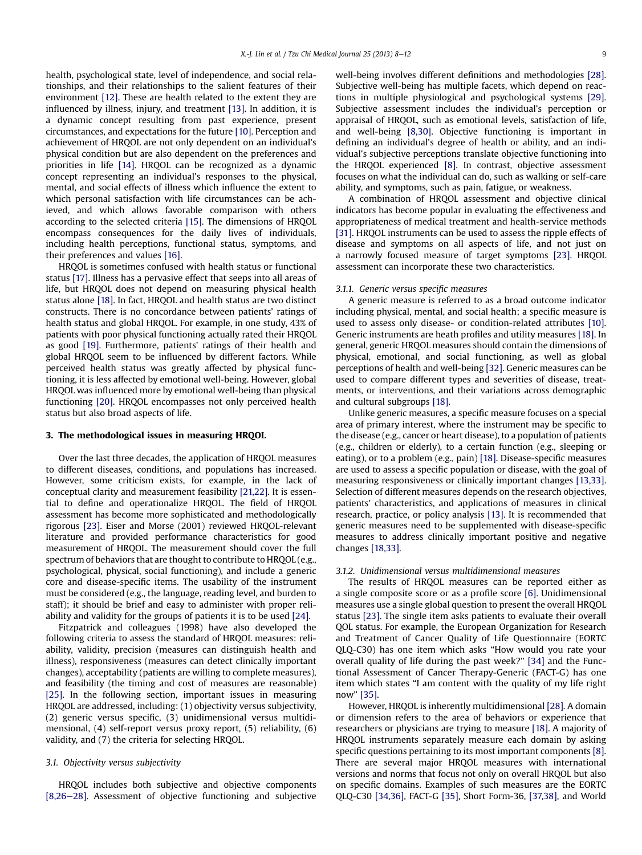health, psychological state, level of independence, and social relationships, and their relationships to the salient features of their environment [\[12\]](#page-3-0). These are health related to the extent they are influenced by illness, injury, and treatment [\[13\].](#page-3-0) In addition, it is a dynamic concept resulting from past experience, present circumstances, and expectations for the future [\[10\]](#page-3-0). Perception and achievement of HRQOL are not only dependent on an individual's physical condition but are also dependent on the preferences and priorities in life [\[14\].](#page-3-0) HRQOL can be recognized as a dynamic concept representing an individual's responses to the physical, mental, and social effects of illness which influence the extent to which personal satisfaction with life circumstances can be achieved, and which allows favorable comparison with others according to the selected criteria [\[15\]](#page-3-0). The dimensions of HRQOL encompass consequences for the daily lives of individuals, including health perceptions, functional status, symptoms, and their preferences and values [\[16\]](#page-3-0).

HRQOL is sometimes confused with health status or functional status [\[17\].](#page-3-0) Illness has a pervasive effect that seeps into all areas of life, but HRQOL does not depend on measuring physical health status alone [\[18\].](#page-3-0) In fact, HRQOL and health status are two distinct constructs. There is no concordance between patients' ratings of health status and global HRQOL. For example, in one study, 43% of patients with poor physical functioning actually rated their HRQOL as good [\[19\].](#page-3-0) Furthermore, patients' ratings of their health and global HRQOL seem to be influenced by different factors. While perceived health status was greatly affected by physical functioning, it is less affected by emotional well-being. However, global HRQOL was influenced more by emotional well-being than physical functioning [\[20\].](#page-3-0) HRQOL encompasses not only perceived health status but also broad aspects of life.

#### 3. The methodological issues in measuring HRQOL

Over the last three decades, the application of HRQOL measures to different diseases, conditions, and populations has increased. However, some criticism exists, for example, in the lack of conceptual clarity and measurement feasibility [\[21,22\]](#page-3-0). It is essential to define and operationalize HRQOL. The field of HRQOL assessment has become more sophisticated and methodologically rigorous [\[23\].](#page-3-0) Eiser and Morse (2001) reviewed HRQOL-relevant literature and provided performance characteristics for good measurement of HRQOL. The measurement should cover the full spectrum of behaviors that are thought to contribute to HRQOL (e.g., psychological, physical, social functioning), and include a generic core and disease-specific items. The usability of the instrument must be considered (e.g., the language, reading level, and burden to staff); it should be brief and easy to administer with proper reliability and validity for the groups of patients it is to be used [\[24\]](#page-3-0).

Fitzpatrick and colleagues (1998) have also developed the following criteria to assess the standard of HRQOL measures: reliability, validity, precision (measures can distinguish health and illness), responsiveness (measures can detect clinically important changes), acceptability (patients are willing to complete measures), and feasibility (the timing and cost of measures are reasonable) [\[25\].](#page-3-0) In the following section, important issues in measuring HRQOL are addressed, including: (1) objectivity versus subjectivity, (2) generic versus specific, (3) unidimensional versus multidimensional, (4) self-report versus proxy report, (5) reliability, (6) validity, and (7) the criteria for selecting HRQOL.

# 3.1. Objectivity versus subjectivity

HRQOL includes both subjective and objective components  $[8,26-28]$  $[8,26-28]$  $[8,26-28]$ . Assessment of objective functioning and subjective well-being involves different definitions and methodologies [\[28\].](#page-3-0) Subjective well-being has multiple facets, which depend on reactions in multiple physiological and psychological systems [\[29\].](#page-3-0) Subjective assessment includes the individual's perception or appraisal of HRQOL, such as emotional levels, satisfaction of life, and well-being [\[8,30\]](#page-3-0). Objective functioning is important in defining an individual's degree of health or ability, and an individual's subjective perceptions translate objective functioning into the HRQOL experienced [\[8\]](#page-3-0). In contrast, objective assessment focuses on what the individual can do, such as walking or self-care ability, and symptoms, such as pain, fatigue, or weakness.

A combination of HRQOL assessment and objective clinical indicators has become popular in evaluating the effectiveness and appropriateness of medical treatment and health-service methods [\[31\]](#page-3-0). HRQOL instruments can be used to assess the ripple effects of disease and symptoms on all aspects of life, and not just on a narrowly focused measure of target symptoms [\[23\].](#page-3-0) HRQOL assessment can incorporate these two characteristics.

# 3.1.1. Generic versus specific measures

A generic measure is referred to as a broad outcome indicator including physical, mental, and social health; a specific measure is used to assess only disease- or condition-related attributes [\[10\].](#page-3-0) Generic instruments are heath profiles and utility measures [\[18\]](#page-3-0). In general, generic HRQOL measures should contain the dimensions of physical, emotional, and social functioning, as well as global perceptions of health and well-being [\[32\]](#page-3-0). Generic measures can be used to compare different types and severities of disease, treatments, or interventions, and their variations across demographic and cultural subgroups [\[18\]](#page-3-0).

Unlike generic measures, a specific measure focuses on a special area of primary interest, where the instrument may be specific to the disease (e.g., cancer or heart disease), to a population of patients (e.g., children or elderly), to a certain function (e.g., sleeping or eating), or to a problem (e.g., pain) [\[18\]](#page-3-0). Disease-specific measures are used to assess a specific population or disease, with the goal of measuring responsiveness or clinically important changes [\[13,33\].](#page-3-0) Selection of different measures depends on the research objectives, patients' characteristics, and applications of measures in clinical research, practice, or policy analysis [\[13\]](#page-3-0). It is recommended that generic measures need to be supplemented with disease-specific measures to address clinically important positive and negative changes [\[18,33\]](#page-3-0).

#### 3.1.2. Unidimensional versus multidimensional measures

The results of HRQOL measures can be reported either as a single composite score or as a profile score [\[6\].](#page-3-0) Unidimensional measures use a single global question to present the overall HRQOL status [\[23\]](#page-3-0). The single item asks patients to evaluate their overall QOL status. For example, the European Organization for Research and Treatment of Cancer Quality of Life Questionnaire (EORTC QLQ-C30) has one item which asks "How would you rate your overall quality of life during the past week?" [\[34\]](#page-3-0) and the Functional Assessment of Cancer Therapy-Generic (FACT-G) has one item which states "I am content with the quality of my life right now" [\[35\].](#page-3-0)

However, HRQOL is inherently multidimensional [\[28\].](#page-3-0) A domain or dimension refers to the area of behaviors or experience that researchers or physicians are trying to measure [\[18\].](#page-3-0) A majority of HRQOL instruments separately measure each domain by asking specific questions pertaining to its most important components [\[8\].](#page-3-0) There are several major HRQOL measures with international versions and norms that focus not only on overall HRQOL but also on specific domains. Examples of such measures are the EORTC QLQ-C30 [\[34,36\],](#page-3-0) FACT-G [\[35\]](#page-3-0), Short Form-36, [\[37,38\],](#page-4-0) and World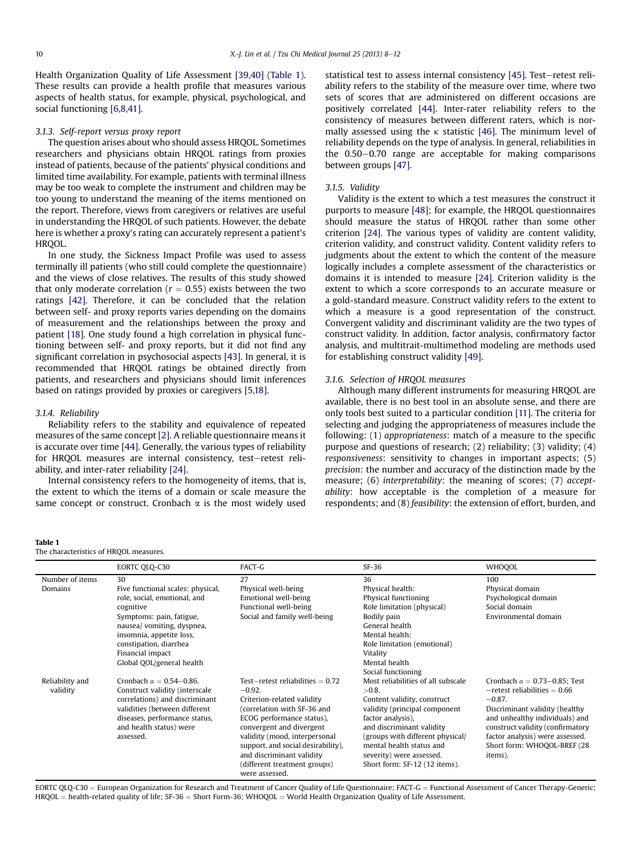Health Organization Quality of Life Assessment [\[39,40\]](#page-4-0) (Table 1). These results can provide a health profile that measures various aspects of health status, for example, physical, psychological, and social functioning [\[6,8,41\].](#page-3-0)

# 3.1.3. Self-report versus proxy report

The question arises about who should assess HRQOL. Sometimes researchers and physicians obtain HRQOL ratings from proxies instead of patients, because of the patients' physical conditions and limited time availability. For example, patients with terminal illness may be too weak to complete the instrument and children may be too young to understand the meaning of the items mentioned on the report. Therefore, views from caregivers or relatives are useful in understanding the HRQOL of such patients. However, the debate here is whether a proxy's rating can accurately represent a patient's HRQOL.

In one study, the Sickness Impact Profile was used to assess terminally ill patients (who still could complete the questionnaire) and the views of close relatives. The results of this study showed that only moderate correlation ( $r = 0.55$ ) exists between the two ratings [\[42\]](#page-4-0). Therefore, it can be concluded that the relation between self- and proxy reports varies depending on the domains of measurement and the relationships between the proxy and patient [\[18\]](#page-3-0). One study found a high correlation in physical functioning between self- and proxy reports, but it did not find any significant correlation in psychosocial aspects [\[43\]](#page-4-0). In general, it is recommended that HRQOL ratings be obtained directly from patients, and researchers and physicians should limit inferences based on ratings provided by proxies or caregivers [\[5,18\].](#page-3-0)

# 3.1.4. Reliability

Reliability refers to the stability and equivalence of repeated measures of the same concept [\[2\]](#page-3-0). A reliable questionnaire means it is accurate over time [\[44\]](#page-4-0). Generally, the various types of reliability for HRQOL measures are internal consistency, test-retest reliability, and inter-rater reliability [\[24\].](#page-3-0)

Internal consistency refers to the homogeneity of items, that is, the extent to which the items of a domain or scale measure the same concept or construct. Cronbach  $\alpha$  is the most widely used statistical test to assess internal consistency [\[45\]](#page-4-0). Test-retest reliability refers to the stability of the measure over time, where two sets of scores that are administered on different occasions are positively correlated [\[44\]](#page-4-0). Inter-rater reliability refers to the consistency of measures between different raters, which is normally assessed using the  $\kappa$  statistic [\[46\]](#page-4-0). The minimum level of reliability depends on the type of analysis. In general, reliabilities in the  $0.50-0.70$  range are acceptable for making comparisons between groups [\[47\]](#page-4-0).

#### 3.1.5. Validity

Validity is the extent to which a test measures the construct it purports to measure [\[48\];](#page-4-0) for example, the HRQOL questionnaires should measure the status of HRQOL rather than some other criterion [\[24\]](#page-3-0). The various types of validity are content validity, criterion validity, and construct validity. Content validity refers to judgments about the extent to which the content of the measure logically includes a complete assessment of the characteristics or domains it is intended to measure [\[24\]](#page-3-0). Criterion validity is the extent to which a score corresponds to an accurate measure or a gold-standard measure. Construct validity refers to the extent to which a measure is a good representation of the construct. Convergent validity and discriminant validity are the two types of construct validity. In addition, factor analysis, confirmatory factor analysis, and multitrait-multimethod modeling are methods used for establishing construct validity [\[49\].](#page-4-0)

#### 3.1.6. Selection of HRQOL measures

Although many different instruments for measuring HRQOL are available, there is no best tool in an absolute sense, and there are only tools best suited to a particular condition [\[11\].](#page-3-0) The criteria for selecting and judging the appropriateness of measures include the following: (1) appropriateness: match of a measure to the specific purpose and questions of research; (2) reliability; (3) validity; (4) responsiveness: sensitivity to changes in important aspects; (5) precision: the number and accuracy of the distinction made by the measure; (6) *interpretability*; the meaning of scores; (7) *accept*ability: how acceptable is the completion of a measure for respondents; and (8) feasibility: the extension of effort, burden, and

#### Table 1

|                             | EORTC QLQ-C30                                                                                                                                                                                                                                         | FACT-G                                                                                                                                                                                                                                                                                                                     | $SF-36$                                                                                                                                                                                                                                                                                       | <b>WHOOOL</b>                                                                                                                                                                                                                                                               |
|-----------------------------|-------------------------------------------------------------------------------------------------------------------------------------------------------------------------------------------------------------------------------------------------------|----------------------------------------------------------------------------------------------------------------------------------------------------------------------------------------------------------------------------------------------------------------------------------------------------------------------------|-----------------------------------------------------------------------------------------------------------------------------------------------------------------------------------------------------------------------------------------------------------------------------------------------|-----------------------------------------------------------------------------------------------------------------------------------------------------------------------------------------------------------------------------------------------------------------------------|
| Number of items<br>Domains  | 30<br>Five functional scales: physical,<br>role, social, emotional, and<br>cognitive<br>Symptoms: pain, fatigue,<br>nausea/ vomiting, dyspnea,<br>insomnia, appetite loss,<br>constipation, diarrhea<br>Financial impact<br>Global OOL/general health | 27<br>Physical well-being<br>Emotional well-being<br>Functional well-being<br>Social and family well-being                                                                                                                                                                                                                 | 36<br>Physical health:<br>Physical functioning<br>Role limitation (physical)<br>Bodily pain<br>General health<br>Mental health:<br>Role limitation (emotional)<br>Vitality<br>Mental health<br>Social functioning                                                                             | 100<br>Physical domain<br>Psychological domain<br>Social domain<br>Environmental domain                                                                                                                                                                                     |
| Reliability and<br>validity | Cronbach $\alpha = 0.54 - 0.86$ .<br>Construct validity (interscale<br>correlations) and discriminant<br>validities (between different<br>diseases, performance status,<br>and health status) were<br>assessed.                                       | Test-retest reliabilities $= 0.72$<br>$-0.92.$<br>Criterion-related validity<br>(correlation with SF-36 and<br>ECOG performance status),<br>convergent and divergent<br>validity (mood, interpersonal<br>support, and social desirability),<br>and discriminant validity<br>(different treatment groups)<br>were assessed. | Most reliabilities of all subscale<br>$>0.8$ .<br>Content validity, construct<br>validity (principal component<br>factor analysis),<br>and discriminant validity<br>(groups with different physical/<br>mental health status and<br>severity) were assessed.<br>Short form: SF-12 (12 items). | Cronbach $\alpha = 0.73 - 0.85$ : Test<br>$-$ retest reliabilities = 0.66<br>$-0.87.$<br>Discriminant validity (healthy<br>and unhealthy individuals) and<br>construct validity (confirmatory<br>factor analysis) were assessed.<br>Short form: WHOQOL-BREF (28)<br>items). |

EORTC QLQ-C30 = European Organization for Research and Treatment of Cancer Quality of Life Questionnaire; FACT-G = Functional Assessment of Cancer Therapy-Generic;  $HRQOL = health-related quality of life; SF-36 = Short Form-36; WHOQOL = World Health Organization Quality of Life Assessment.$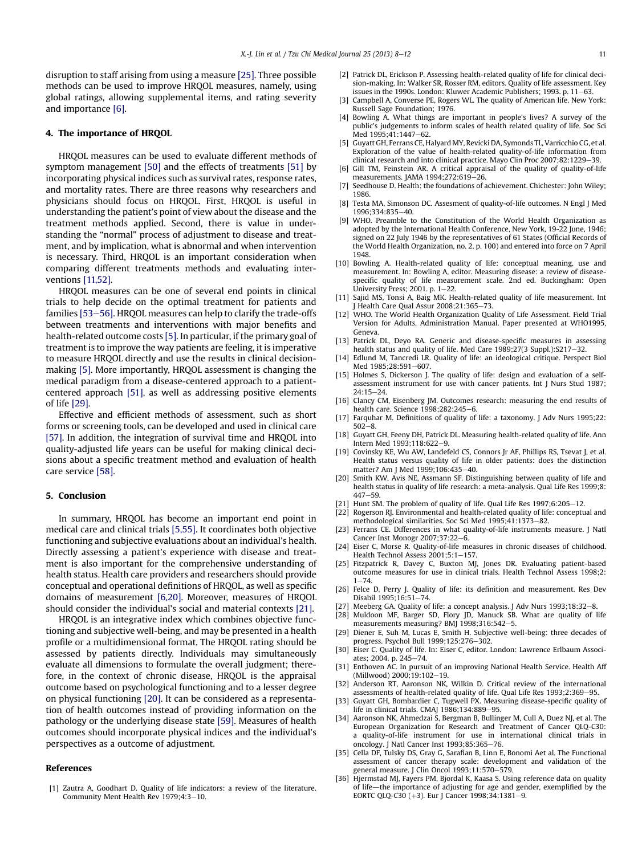<span id="page-3-0"></span>disruption to staff arising from using a measure [25]. Three possible methods can be used to improve HRQOL measures, namely, using global ratings, allowing supplemental items, and rating severity and importance [6].

#### 4. The importance of HRQOL

HRQOL measures can be used to evaluate different methods of symptom management [\[50\]](#page-4-0) and the effects of treatments [\[51\]](#page-4-0) by incorporating physical indices such as survival rates, response rates, and mortality rates. There are three reasons why researchers and physicians should focus on HRQOL. First, HRQOL is useful in understanding the patient's point of view about the disease and the treatment methods applied. Second, there is value in understanding the "normal" process of adjustment to disease and treatment, and by implication, what is abnormal and when intervention is necessary. Third, HRQOL is an important consideration when comparing different treatments methods and evaluating interventions [11,52].

HRQOL measures can be one of several end points in clinical trials to help decide on the optimal treatment for patients and families [\[53](#page-4-0)-[56\].](#page-4-0) HRQOL measures can help to clarify the trade-offs between treatments and interventions with major benefits and health-related outcome costs [5]. In particular, if the primary goal of treatment is to improve the way patients are feeling, it is imperative to measure HRQOL directly and use the results in clinical decisionmaking [5]. More importantly, HRQOL assessment is changing the medical paradigm from a disease-centered approach to a patientcentered approach [\[51\],](#page-4-0) as well as addressing positive elements of life [29].

Effective and efficient methods of assessment, such as short forms or screening tools, can be developed and used in clinical care [\[57\].](#page-4-0) In addition, the integration of survival time and HRQOL into quality-adjusted life years can be useful for making clinical decisions about a specific treatment method and evaluation of health care service [\[58\].](#page-4-0)

# 5. Conclusion

In summary, HRQOL has become an important end point in medical care and clinical trials [5,55]. It coordinates both objective functioning and subjective evaluations about an individual's health. Directly assessing a patient's experience with disease and treatment is also important for the comprehensive understanding of health status. Health care providers and researchers should provide conceptual and operational definitions of HRQOL, as well as specific domains of measurement [6,20]. Moreover, measures of HRQOL should consider the individual's social and material contexts [21].

HRQOL is an integrative index which combines objective functioning and subjective well-being, and may be presented in a health profile or a multidimensional format. The HRQOL rating should be assessed by patients directly. Individuals may simultaneously evaluate all dimensions to formulate the overall judgment; therefore, in the context of chronic disease, HRQOL is the appraisal outcome based on psychological functioning and to a lesser degree on physical functioning [20]. It can be considered as a representation of health outcomes instead of providing information on the pathology or the underlying disease state [\[59\]](#page-4-0). Measures of health outcomes should incorporate physical indices and the individual's perspectives as a outcome of adjustment.

#### References

[1] Zautra A, Goodhart D. Quality of life indicators: a review of the literature. Community Ment Health Rev 1979;4:3-10.

- [2] Patrick DL, Erickson P. Assessing health-related quality of life for clinical decision-making. In: Walker SR, Rosser RM, editors. Quality of life assessment. Key issues in the 1990s. London: Kluwer Academic Publishers: 1993. p. 11–63.
- [3] Campbell A, Converse PE, Rogers WL. The quality of American life. New York: Russell Sage Foundation; 1976.
- [4] Bowling A. What things are important in people's lives? A survey of the public's judgements to inform scales of health related quality of life. Soc Sci Med 1995:41:1447-62.
- [5] Guyatt GH, Ferrans CE, Halyard MY, Revicki DA, Symonds TL, Varricchio CG, et al. Exploration of the value of health-related quality-of-life information from clinical research and into clinical practice. Mayo Clin Proc 2007:82:1229-39.
- [6] Gill TM, Feinstein AR. A critical appraisal of the quality of quality-of-life measurements. JAMA  $1994:272:619-26$ .
- [7] Seedhouse D. Health: the foundations of achievement. Chichester: John Wiley; 1986.
- [8] Testa MA, Simonson DC. Assesment of quality-of-life outcomes. N Engl J Med  $1996:334:835 - 40$
- [9] WHO. Preamble to the Constitution of the World Health Organization as adopted by the International Health Conference, New York, 19-22 June, 1946; signed on 22 July 1946 by the representatives of 61 States (Official Records of the World Health Organization, no. 2, p. 100) and entered into force on 7 April 1948.
- [10] Bowling A. Health-related quality of life: conceptual meaning, use and measurement. In: Bowling A, editor. Measuring disease: a review of diseasespecific quality of life measurement scale. 2nd ed. Buckingham: Open University Press; 2001. p.  $1-22$ .
- [11] Sajid MS, Tonsi A, Baig MK. Health-related quality of life measurement. Int J Health Care Qual Assur 2008;21:365-73
- [12] WHO. The World Health Organization Quality of Life Assessment. Field Trial Version for Adults. Administration Manual. Paper presented at WHO1995, Geneva.
- [13] Patrick DL, Deyo RA. Generic and disease-specific measures in assessing health status and quality of life. Med Care 1989;27(3 Suppl.):S217-32.
- [14] Edlund M, Tancredi LR. Quality of life: an ideological critique. Perspect Biol Med 1985;28:591-607.
- [15] Holmes S, Dickerson J. The quality of life: design and evaluation of a selfassessment instrument for use with cancer patients. Int J Nurs Stud 1987;  $24.15 - 24$
- [16] Clancy CM, Eisenberg JM. Outcomes research: measuring the end results of health care. Science  $1998:282:245-6$ .
- [17] Farquhar M. Definitions of quality of life: a taxonomy. J Adv Nurs 1995;22:  $502 - 8$
- [18] Guyatt GH, Feeny DH, Patrick DL. Measuring health-related quality of life. Ann Intern Med 1993;118:622-9.
- [19] Covinsky KE, Wu AW, Landefeld CS, Connors Jr AF, Phillips RS, Tsevat J, et al. Health status versus quality of life in older patients: does the distinction matter? Am J Med 1999;106:435-40.
- [20] Smith KW, Avis NE, Assmann SF. Distinguishing between quality of life and health status in quality of life research: a meta-analysis. Qual Life Res 1999;8:  $447 - 59$
- [21] Hunt SM. The problem of quality of life. Qual Life Res  $1997;6:205-12$ .
- [22] Rogerson RJ. Environmental and health-related quality of life: conceptual and methodological similarities. Soc Sci Med 1995;41:1373-82.
- [23] Ferrans CE. Differences in what quality-of-life instruments measure. J Natl Cancer Inst Monogr 2007;37:22-6.
- [24] Eiser C, Morse R. Quality-of-life measures in chronic diseases of childhood. Health Technol Assess 2001:5:1-157.
- [25] Fitzpatrick R, Davey C, Buxton MJ, Jones DR. Evaluating patient-based outcome measures for use in clinical trials. Health Technol Assess 1998;2:  $1 - 74.$
- [26] Felce D, Perry J. Quality of life: its definition and measurement. Res Dev Disabil 1995:16:51-74
- [27] Meeberg GA. Quality of life: a concept analysis. J Adv Nurs 1993;18:32-8.
- [28] Muldoon MF, Barger SD, Flory JD, Manuck SB. What are quality of life measurements measuring? BMJ 1998;316:542-5.
- [29] Diener E, Suh M, Lucas E, Smith H. Subjective well-being: three decades of progress. Psychol Bull  $1999;125:276-302$ .
- [30] Eiser C. Quality of life. In: Eiser C, editor. London: Lawrence Erlbaum Associates; 2004. p. 245-74.
- [31] Enthoven AC. In pursuit of an improving National Health Service. Health Aff (Millwood) 2000;19:102-19.
- [32] Anderson RT, Aaronson NK, Wilkin D. Critical review of the international assessments of health-related quality of life. Qual Life Res 1993;2:369-95.
- [33] Guyatt GH, Bombardier C, Tugwell PX. Measuring disease-specific quality of life in clinical trials. CMAJ  $1986;134:889-95$ .
- [34] Aaronson NK, Ahmedzai S, Bergman B, Bullinger M, Cull A, Duez NJ, et al. The European Organization for Research and Treatment of Cancer QLQ-C30: a quality-of-life instrument for use in international clinical trials in oncology. J Natl Cancer Inst 1993;85:365-76.
- [35] Cella DF, Tulsky DS, Gray G, Sarafian B, Linn E, Bonomi Aet al. The Functional assessment of cancer therapy scale: development and validation of the general measure. J Clin Oncol 1993;11:570-579.
- [36] Hjermstad MJ, Fayers PM, Bjordal K, Kaasa S, Using reference data on quality of life—the importance of adjusting for age and gender, exemplified by the EORTC QLQ-C30  $(+3)$ . Eur J Cancer 1998;34:1381-9.